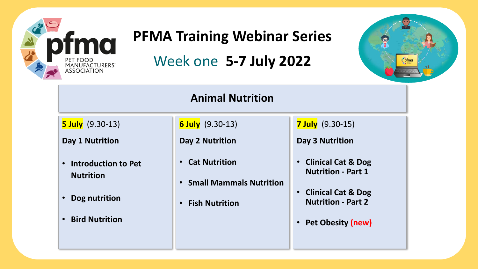

#### **PFMA Training Webinar Series**

#### Week one **5-7 July 2022**



#### **Animal Nutrition**

**5 July** (9.30-13)

**Day 1 Nutrition**

- **Introduction to Pet Nutrition**
- **Dog nutrition**
- **Bird Nutrition**

**6 July** (9.30-13)

**Day 2 Nutrition**

- **Cat Nutrition**
- **Small Mammals Nutrition**
- **Fish Nutrition**

**7 July** (9.30-15)

**Day 3 Nutrition**

- **Clinical Cat & Dog Nutrition - Part 1**
- **Clinical Cat & Dog Nutrition - Part 2**
- **Pet Obesity (new)**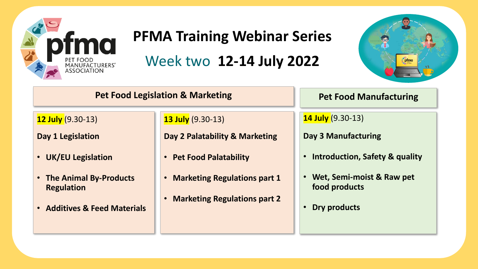

#### **PFMA Training Webinar Series**

Week two **12-14 July 2022**



#### **Pet Food Legislation & Marketing Pet Food Manufacturing**

**12 July** (9.30-13)

**Day 1 Legislation**

- **UK/EU Legislation**
- **The Animal By-Products Regulation**
- **Additives & Feed Materials**

**13 July** (9.30-13)

**Day 2 Palatability & Marketing** 

- **Pet Food Palatability**
- **Marketing Regulations part 1**
- **Marketing Regulations part 2**

**14 July** (9.30-13)

**Day 3 Manufacturing**

- **Introduction, Safety & quality**
- **Wet, Semi-moist & Raw pet food products**
- **Dry products**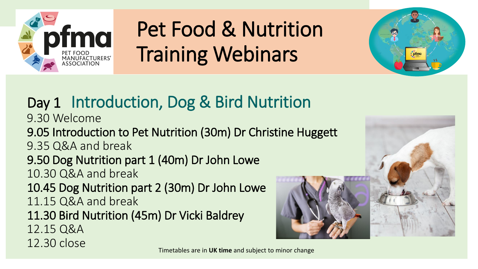



## Day 1 Introduction, Dog & Bird Nutrition

9.30 Welcome

9.05 Introduction to Pet Nutrition (30m) Dr Christine Huggett

9.35 Q&A and break

## 9.50 Dog Nutrition part 1 (40m) Dr John Lowe

10.30 Q&A and break

10.45 Dog Nutrition part 2 (30m) Dr John Lowe 11.15 Q&A and break

11.30 Bird Nutrition (45m) Dr Vicki Baldrey

12.15 Q&A

12.30 close

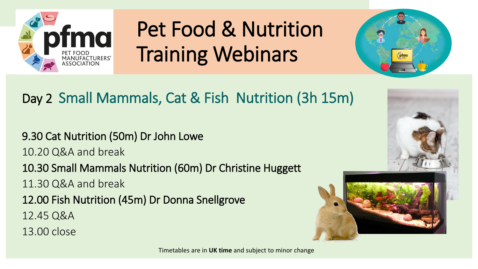



#### Day 2 Small Mammals, Cat & Fish Nutrition (3h 15m)

9.30 Cat Nutrition (50m) Dr John Lowe 10.20 Q&A and break 10.30 Small Mammals Nutrition (60m) Dr Christine Huggett 11.30 Q&A and break 12.00 Fish Nutrition (45m) Dr Donna Snellgrove 12.45 Q&A 13.00 close



Timetables are in **UK time** and subject to minor change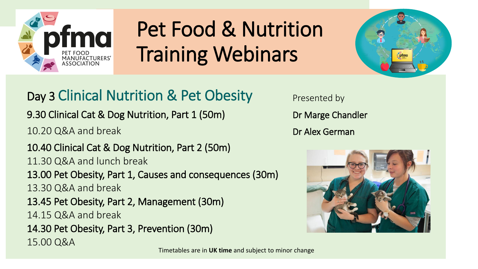



Day 3 Clinical Nutrition & Pet Obesity

9.30 Clinical Cat & Dog Nutrition, Part 1 (50m)

10.20 Q&A and break

10.40 Clinical Cat & Dog Nutrition, Part 2 (50m) 11.30 Q&A and lunch break 13.00 Pet Obesity, Part 1, Causes and consequences (30m) 13.30 Q&A and break 13.45 Pet Obesity, Part 2, Management (30m) 14.15 Q&A and break 14.30 Pet Obesity, Part 3, Prevention (30m) 15.00 Q&A

Presented by Dr Marge Chandler Dr Alex German



Timetables are in **UK time** and subject to minor change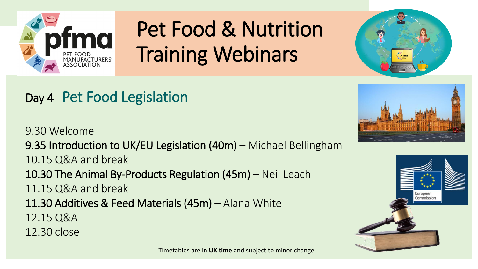



### Day 4 Pet Food Legislation

9.30 Welcome 9.35 Introduction to UK/EU Legislation (40m) – Michael Bellingham 10.15 Q&A and break 10.30 The Animal By-Products Regulation (45m) – Neil Leach 11.15 Q&A and break 11.30 Additives & Feed Materials (45m) – Alana White 12.15 Q&A 12.30 close



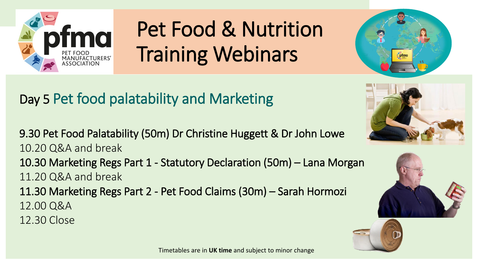



9.30 Pet Food Palatability (50m) Dr Christine Huggett & Dr John Lowe 10.20 Q&A and break 10.30 Marketing Regs Part 1 - Statutory Declaration (50m) – Lana Morgan 11.20 Q&A and break 11.30 Marketing Regs Part 2 - Pet Food Claims (30m) – Sarah Hormozi 12.00 Q&A 12.30 Close